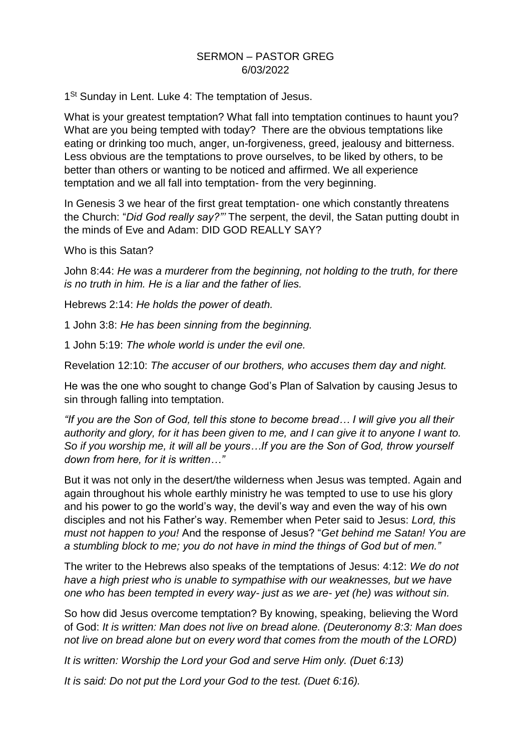## SERMON – PASTOR GREG 6/03/2022

1<sup>St</sup> Sunday in Lent. Luke 4: The temptation of Jesus.

What is your greatest temptation? What fall into temptation continues to haunt you? What are you being tempted with today? There are the obvious temptations like eating or drinking too much, anger, un-forgiveness, greed, jealousy and bitterness. Less obvious are the temptations to prove ourselves, to be liked by others, to be better than others or wanting to be noticed and affirmed. We all experience temptation and we all fall into temptation- from the very beginning.

In Genesis 3 we hear of the first great temptation- one which constantly threatens the Church: "*Did God really say?"'* The serpent, the devil, the Satan putting doubt in the minds of Eve and Adam: DID GOD REALLY SAY?

Who is this Satan?

John 8:44: *He was a murderer from the beginning, not holding to the truth, for there is no truth in him. He is a liar and the father of lies.* 

Hebrews 2:14: *He holds the power of death.* 

1 John 3:8: *He has been sinning from the beginning.* 

1 John 5:19: *The whole world is under the evil one.* 

Revelation 12:10: *The accuser of our brothers, who accuses them day and night.*

He was the one who sought to change God's Plan of Salvation by causing Jesus to sin through falling into temptation.

*"If you are the Son of God, tell this stone to become bread… I will give you all their authority and glory, for it has been given to me, and I can give it to anyone I want to. So if you worship me, it will all be yours…If you are the Son of God, throw yourself down from here, for it is written…"*

But it was not only in the desert/the wilderness when Jesus was tempted. Again and again throughout his whole earthly ministry he was tempted to use to use his glory and his power to go the world's way, the devil's way and even the way of his own disciples and not his Father's way. Remember when Peter said to Jesus: *Lord, this must not happen to you!* And the response of Jesus? "*Get behind me Satan! You are a stumbling block to me; you do not have in mind the things of God but of men."* 

The writer to the Hebrews also speaks of the temptations of Jesus: 4:12: *We do not*  have a high priest who is unable to sympathise with our weaknesses, but we have *one who has been tempted in every way- just as we are- yet (he) was without sin.* 

So how did Jesus overcome temptation? By knowing, speaking, believing the Word of God: *It is written: Man does not live on bread alone. (Deuteronomy 8:3: Man does not live on bread alone but on every word that comes from the mouth of the LORD)*

*It is written: Worship the Lord your God and serve Him only. (Duet 6:13)*

*It is said: Do not put the Lord your God to the test. (Duet 6:16).*